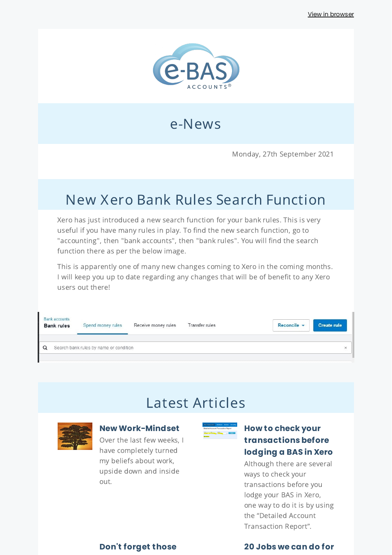

## e-News

Monday, 27th September 2021

# New Xero Bank Rules Search Function

Xero has just introduced a new search function for your bank rules. This is very useful if you have many rules in play. To find the new search function, go to "accounting", then "bank accounts", then "bank rules". You will find the search function there as per the below image.

This is apparently one of many new changes coming to Xero in the coming months. I will keep you up to date regarding any changes that will be of benefit to any Xero users out there!

| <b>Bank accounts</b><br><b>Bank rules</b> | Spend money rules                      | Receive money rules | Transfer rules | Reconcile v | <b>Create rule</b> |
|-------------------------------------------|----------------------------------------|---------------------|----------------|-------------|--------------------|
|                                           | Search bank rules by name or condition |                     |                |             | ×                  |

## Latest Articles

#### **New [Work-Mindset](https://www.e-bas.com.au/new-work-mindset/)**

Over the last few weeks, I have completely turned my beliefs about work, upside down and inside out.



### **How to check your [transactions](https://www.e-bas.com.au/detailed-account-transaction-report-in-xero/) before lodging a BAS in Xero**

Although there are several ways to check your transactions before you lodge your BAS in Xero, one way to do it is by using the "Detailed Account Transaction Report".

**Don't [forget](https://www.e-bas.com.au/dont-forget-those-cash-receipts/) those 20 Jobs we can do for**